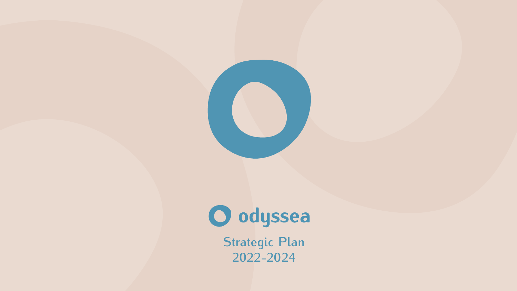**O odyssea**<br>Strategic Plan **2022-2024**

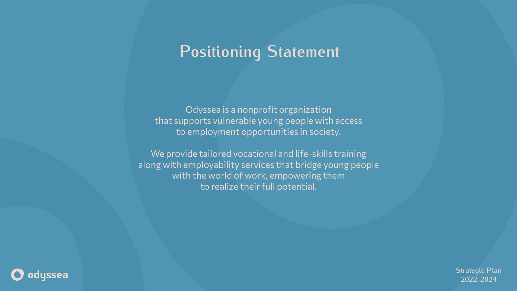

## **Positioning Statement**

Odyssea is a nonprofit organization that supports vulnerable young people with access to employment opportunities in society.

We provide tailored vocational and life-skills training along with employability services that bridge young people with the world of work, empowering them to realize their full potential.

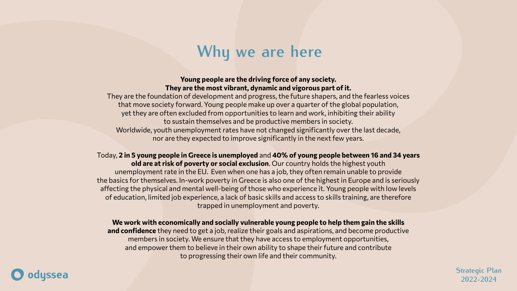

# **Why we are here**

### **Young people are the driving force of any society. They are the most vibrant, dynamic and vigorous part of it.**

They are the foundation of development and progress, the future shapers, and the fearless voices that move society forward. Young people make up over a quarter of the global population, yet they are often excluded from opportunities to learn and work, inhibiting their ability to sustain themselves and be productive members in society. Worldwide, youth unemployment rates have not changed significantly over the last decade, nor are they expected to improve significantly in the next few years.

Today, **2 in 5 young people in Greece is unemployed** and **40% of young people between 16 and 34 years old are at risk of poverty or social exclusion**. Our country holds the highest youth unemployment rate in the EU. Even when one has a job, they often remain unable to provide the basics for themselves. In-work poverty in Greece is also one of the highest in Europe and is seriously affecting the physical and mental well-being of those who experience it. Young people with low levels of education, limited job experience, a lack of basic skills and access to skills training, are therefore trapped in unemployment and poverty.

## **We work with economically and socially vulnerable young people to help them gain the skills**

**and confidence** they need to get a job, realize their goals and aspirations, and become productive members in society. We ensure that they have access to employment opportunities, and empower them to believe in their own ability to shape their future and contribute to progressing their own life and their community.

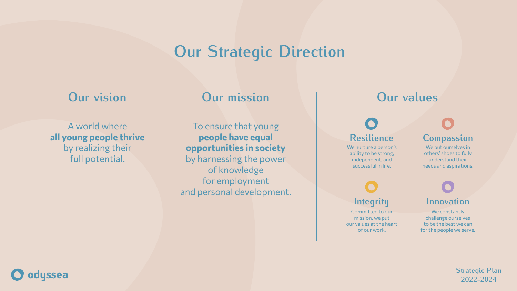

# **Our Strategic Direction**

## **Our vision Our mission**

A world where **all young people thrive**  by realizing their full potential.

To ensure that young **people have equal opportunities in society** by harnessing the power of knowledge for employment and personal development.



We put ourselves in others' shoes to fully understand their needs and aspirations.

## **Our values**

# **Resilience Compassion**

# **Integrity Innovation**

We nurture a person's ability to be strong, independent, and successful in life.

Committed to our mission, we put our values at the heart of our work.

We constantly challenge ourselves to be the best we can for the people we serve.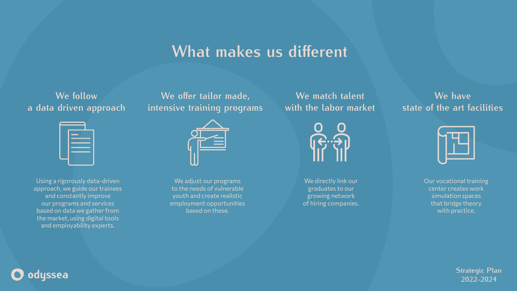

## What makes us different

## **We follow a data driven approach**

## We offer tailor made, **intensive training programs**



**We match talent with the labor market**

**We have state of the art facilities**



Using a rigorously data-driven approach, we guide our trainees and constantly improve our programs and services based on data we gather from the market, using digital tools and employability experts.

We adjust our programs to the needs of vulnerable youth and create realistic employment opportunities based on these.



We directly link our graduates to our growing network of hiring companies. Our vocational training center creates work simulation spaces that bridge theory with practice.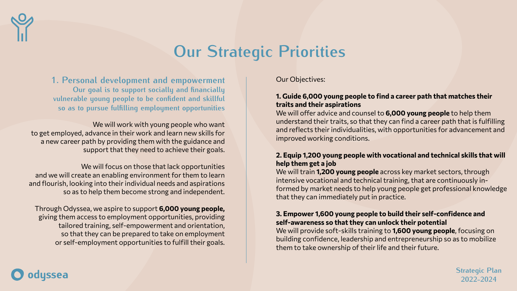









Our Objectives:

## **1. Guide 6,000 young people to find a career path that matches their traits and their aspirations**

We will offer advice and counsel to **6,000 young people** to help them understand their traits, so that they can find a career path that is fulfilling and reflects their individualities, with opportunities for advancement and improved working conditions.

## **2. Equip 1,200 young people with vocational and technical skills that will help them get a job**

**1. Personal development and empowerment** Our goal is to support socially and financially vulnerable young people to be confident and skillful so as to pursue fulfilling employment opportunities

> We will train **1,200 young people** across key market sectors, through intensive vocational and technical training, that are continuously informed by market needs to help young people get professional knowledge that they can immediately put in practice.

We will work with young people who want to get employed, advance in their work and learn new skills for a new career path by providing them with the guidance and support that they need to achieve their goals.

## **3. Empower 1,600 young people to build their self-confidence and self-awareness so that they can unlock their potential**

We will provide soft-skills training to **1,600 young people**, focusing on building confidence, leadership and entrepreneurship so as to mobilize them to take ownership of their life and their future.

We will focus on those that lack opportunities and we will create an enabling environment for them to learn and flourish, looking into their individual needs and aspirations so as to help them become strong and independent.

Through Odyssea, we aspire to support **6,000 young people,** giving them access to employment opportunities, providing tailored training, self-empowerment and orientation, so that they can be prepared to take on employment or self-employment opportunities to fulfill their goals.



# **Our Strategic Priorities**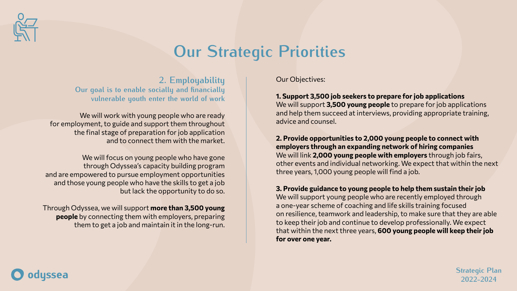



Our Objectives:

**1. Support 3,500 job seekers to prepare for job applications** We will support **3,500 young people** to prepare for job applications and help them succeed at interviews, providing appropriate training, advice and counsel.

**2. Provide opportunities to 2,000 young people to connect with employers through an expanding network of hiring companies** We will link **2,000 young people with employers** through job fairs, other events and individual networking. We expect that within the next three years, 1,000 young people will find a job.

We will work with young people who are ready for employment, to guide and support them throughout the final stage of preparation for job application and to connect them with the market.

We will focus on young people who have gone through Odyssea's capacity building program and are empowered to pursue employment opportunities and those young people who have the skills to get a job but lack the opportunity to do so.

**3. Provide guidance to young people to help them sustain their job** We will support young people who are recently employed through a one-year scheme of coaching and life skills training focused on resilience, teamwork and leadership, to make sure that they are able to keep their job and continue to develop professionally. We expect that within the next three years, **600 young people will keep their job for over one year.**

**2. Employability** Our goal is to enable socially and financially **vulnerable youth enter the world of work**

Through Odyssea, we will support **more than 3,500 young people** by connecting them with employers, preparing them to get a job and maintain it in the long-run.





# **Our Strategic Priorities**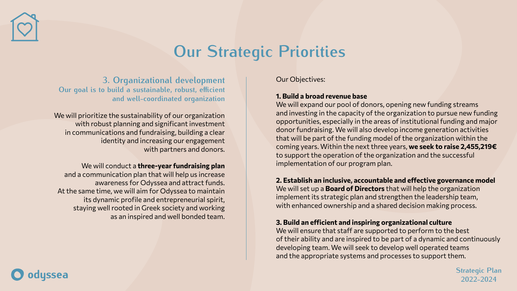





Our Objectives:

### **1. Build a broad revenue base**

We will expand our pool of donors, opening new funding streams and investing in the capacity of the organization to pursue new funding opportunities, especially in the areas of institutional funding and major donor fundraising. We will also develop income generation activities that will be part of the funding model of the organization within the coming years. Within the next three years, **we seek to raise 2,455,219€** to support the operation of the organization and the successful implementation of our program plan.

## **2. Establish an inclusive, accountable and effective governance model**

We will set up a **Board of Directors** that will help the organization implement its strategic plan and strengthen the leadership team, with enhanced ownership and a shared decision making process.

### **3. Build an efficient and inspiring organizational culture**

We will ensure that staff are supported to perform to the best of their ability and are inspired to be part of a dynamic and continuously developing team. We will seek to develop well operated teams and the appropriate systems and processes to support them.

**3. Organizational development Our goal is to build a sustainable, robust, efficient and well-coordinated organization**

We will prioritize the sustainability of our organization with robust planning and significant investment in communications and fundraising, building a clear identity and increasing our engagement with partners and donors.

We will conduct a **three-year fundraising plan** and a communication plan that will help us increase awareness for Odyssea and attract funds. At the same time, we will aim for Odyssea to maintain its dynamic profile and entrepreneurial spirit, staying well rooted in Greek society and working as an inspired and well bonded team.





# **Our Strategic Priorities**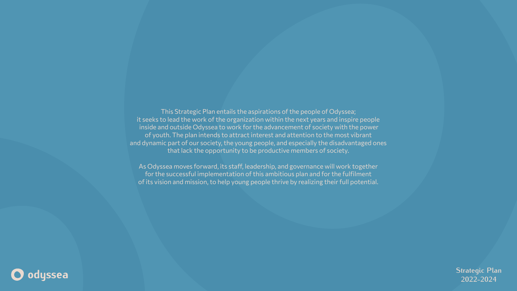This Strategic Plan entails the aspirations of the people of Odyssea; it seeks to lead the work of the organization within the next years and inspire people inside and outside Odyssea to work for the advancement of society with the power of youth. The plan intends to attract interest and attention to the most vibrant and dynamic part of our society, the young people, and especially the disadvantaged ones that lack the opportunity to be productive members of society.

As Odyssea moves forward, its staff, leadership, and governance will work together for the successful implementation of this ambitious plan and for the fulfilment of its vision and mission, to help young people thrive by realizing their full potential.



**Strategic Plan 2022-2024**